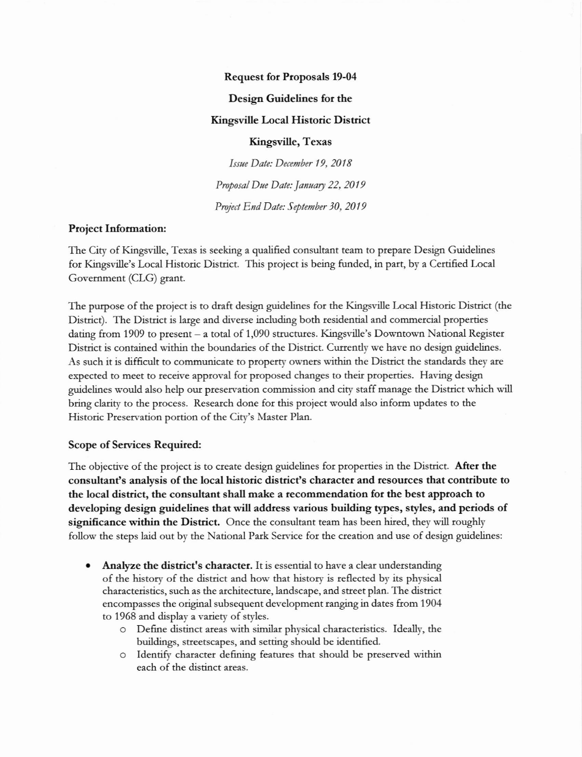#### **Request for Proposals 19-04**

## Design Guidelines for the

#### **Kingsville Local Historic District**

### Kingsville, Texas

Issue Date: December 19, 2018 Proposal Due Date: January 22, 2019 Project End Date: September 30, 2019

## **Project Information:**

The City of Kingsville, Texas is seeking a qualified consultant team to prepare Design Guidelines for Kingsville's Local Historic District. This project is being funded, in part, by a Certified Local Government (CLG) grant.

The purpose of the project is to draft design guidelines for the Kingsville Local Historic District (the District). The District is large and diverse including both residential and commercial properties dating from 1909 to present - a total of 1,090 structures. Kingsville's Downtown National Register District is contained within the boundaries of the District. Currently we have no design guidelines. As such it is difficult to communicate to property owners within the District the standards they are expected to meet to receive approval for proposed changes to their properties. Having design guidelines would also help our preservation commission and city staff manage the District which will bring clarity to the process. Research done for this project would also inform updates to the Historic Preservation portion of the City's Master Plan.

#### Scope of Services Required:

The objective of the project is to create design guidelines for properties in the District. After the consultant's analysis of the local historic district's character and resources that contribute to the local district, the consultant shall make a recommendation for the best approach to developing design guidelines that will address various building types, styles, and periods of significance within the District. Once the consultant team has been hired, they will roughly follow the steps laid out by the National Park Service for the creation and use of design guidelines:

- **Analyze the district's character.** It is essential to have a clear understanding of the history of the district and how that history is reflected by its physical characteristics, such as the architecture, landscape, and street plan. The district encompasses the original subsequent development ranging in dates from 1904 to 1968 and display a variety of styles.
	- O Define distinct areas with similar physical characteristics. Ideally, the buildings, streetscapes, and setting should be identified.
	- o Identify character defining features that should be preserved within each of the distinct areas.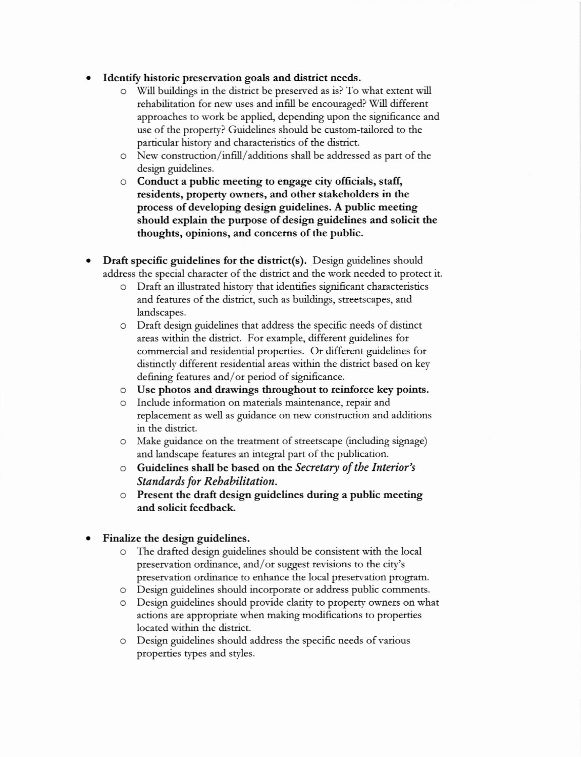## Identify historic preservation goals and district needs.

- o Will buildings in the district be preserved as is? To what extent will rehabilitation for new uses and infll be encouraged? WilI different approaches to work be applied, depending upon the significance and use of the property? Guidelines should be custom-tailored to the particular history and characteristics of the district.
- o New construction/in6ll/additions shall be addressed as part of the design guidelines.
- o Conduct a public meeting to engage city officials, staff, residents, property owners, and other stakeholders in the ptocess of developing design guidelines. A public meeting should explain the purpose of design guidelines and solicit the thoughts, opinions, and concems of the public.
- Draft specific guidelines for the district(s). Design guidelines should address the special character of the district and the work needed to protect it.
	- o Draft an illustrated history that identifies significant charactetistics and features of the district, such as buildings, steetscapes, and landscapes.
	- Draft design guidelines that address the specific needs of distinct areas within the district. For example, diffetent guidelines fot commercial and residential propenies. Or different guidelines fot distinctly different residential areas within the district based on key defining features and/or period of significance.
	- o Use photos and drawings throughout to teinforce key points.
	- o Include information on materials maintenance, repair and replacement as well as guidance on new construction and additions in the district.
	- o Make guidance on the treatment of streetscape (including signage) and landscape features an integral part of the publication.
	- o Guidelines shall be based on the Secretary of tbe Inkrior's Standards for Rehabilitation.
	- $\circ$  Present the draft design guidelines during a public meeting and solicit feedback
- Finalize the design guidelines.
	- o The drafted design guidelines should be consistent with the local preservation ordinance, and/or suggest revisions to the city's preservation ordinance to enhance the local preservation program.
	- o Design guidelines should incorporate or address public comments.
	- o Design guidelines should ptovide clarity to property ownets on what actions ate apptopriate when making modificadons to properties located within the district.
	- o Design guidelines should address the specific needs ofvarious properties types and styles.